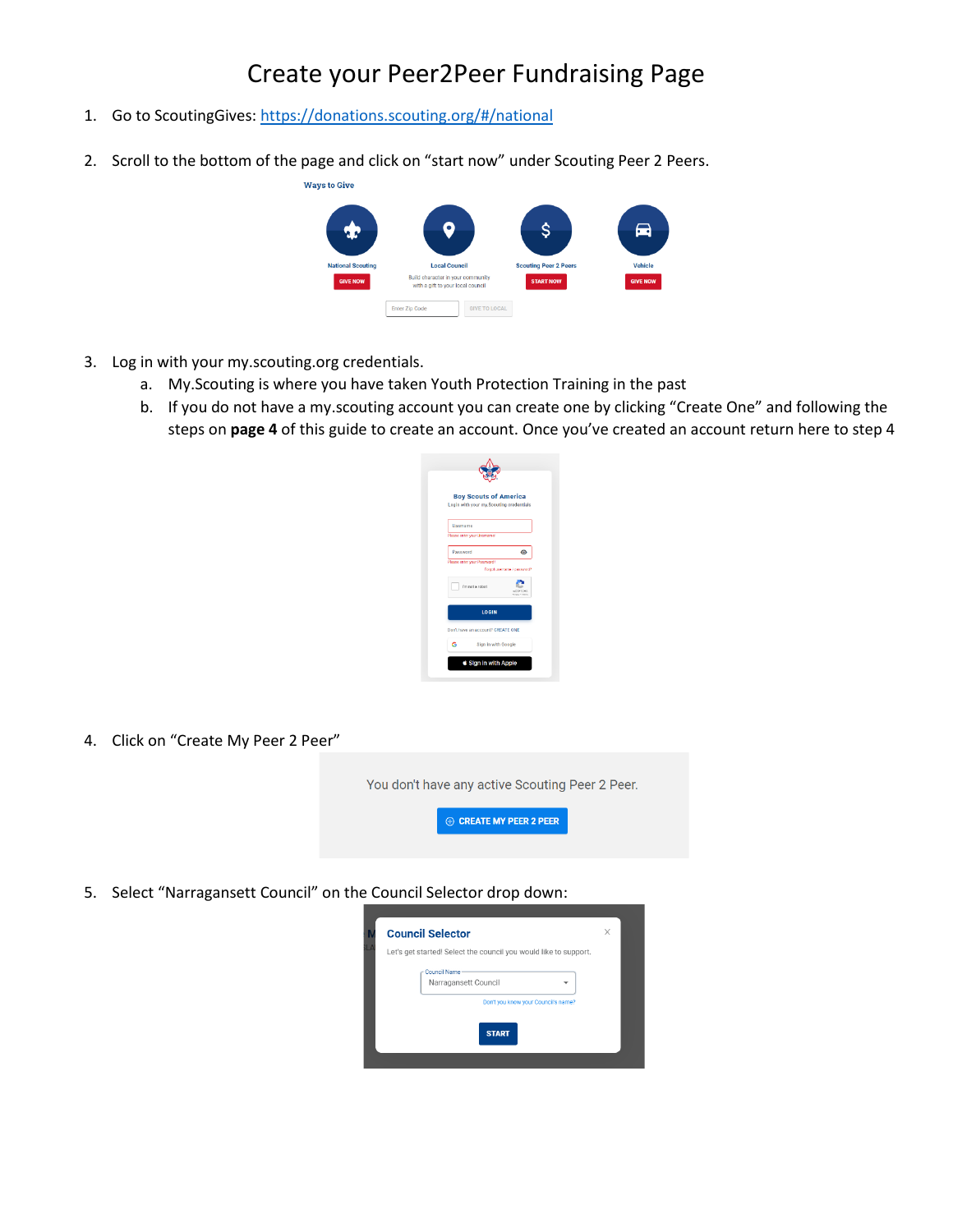## Create your Peer2Peer Fundraising Page

- 1. Go to ScoutingGives:<https://donations.scouting.org/#/national>
- 2. Scroll to the bottom of the page and click on "start now" under Scouting Peer 2 Peers.



- 3. Log in with your my.scouting.org credentials.
	- a. My.Scouting is where you have taken Youth Protection Training in the past
	- b. If you do not have a my.scouting account you can create one by clicking "Create One" and following the steps on **page 4** of this guide to create an account. Once you've created an account return here to step 4



4. Click on "Create My Peer 2 Peer"

You don't have any active Scouting Peer 2 Peer.

 $\oplus$  CREATE MY PEER 2 PEER

5. Select "Narragansett Council" on the Council Selector drop down:

| <b>Council Selector</b>                                                     | X |
|-----------------------------------------------------------------------------|---|
| Let's get started! Select the council you would like to support.            |   |
| Council Name<br>Narragansett Council<br>Don't you know your Council's name? |   |
| <b>START</b>                                                                |   |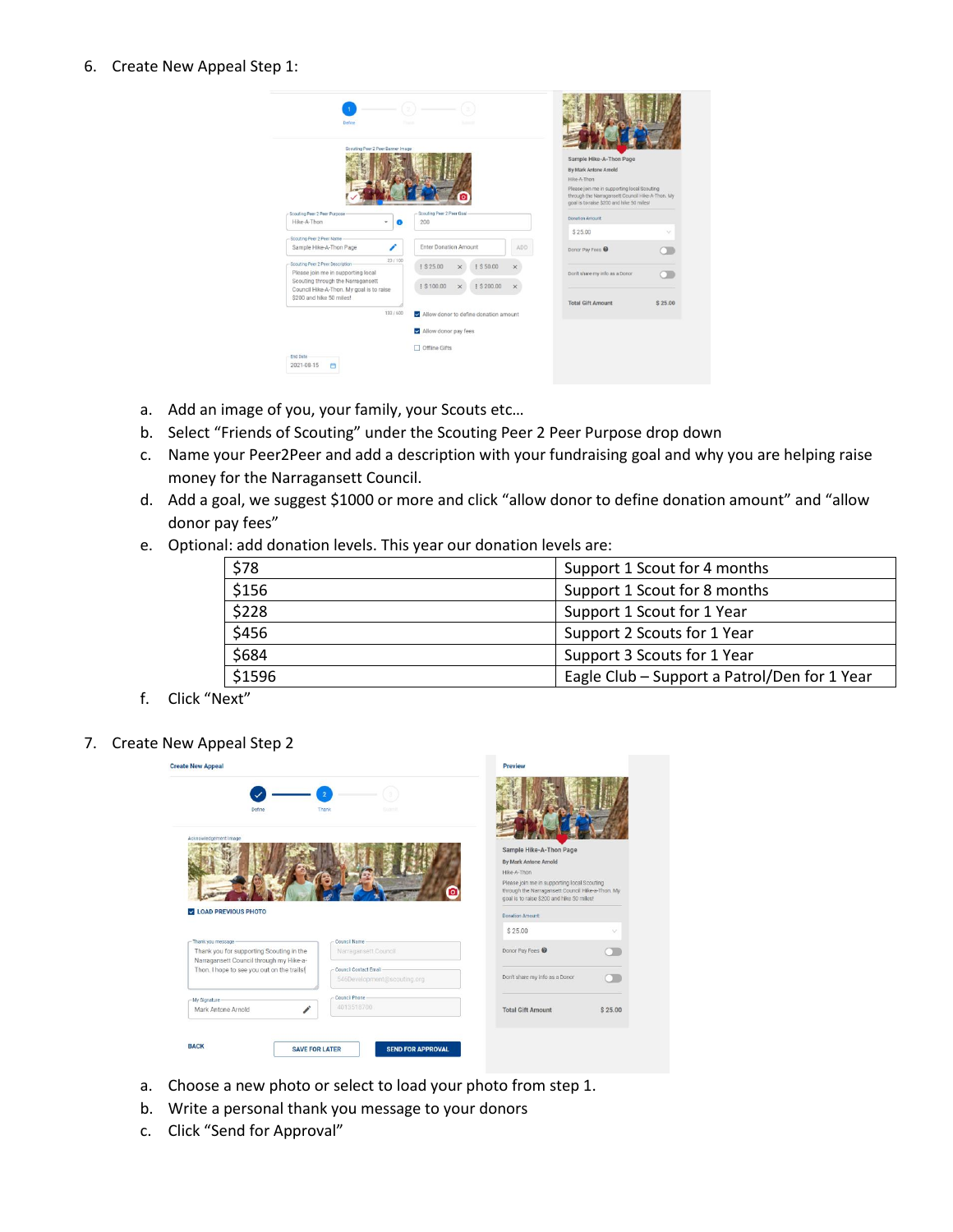## 6. Create New Appeal Step 1:

| Dafine                                                                                                                | <b>Trans</b><br><b>March 19</b>                                              |                      |                                                                                                                                                                                                                 |                             |
|-----------------------------------------------------------------------------------------------------------------------|------------------------------------------------------------------------------|----------------------|-----------------------------------------------------------------------------------------------------------------------------------------------------------------------------------------------------------------|-----------------------------|
| Scouting Peer 2 Peer Banner Image                                                                                     |                                                                              |                      | Sample Hike-A-Thon Page<br>By Mark Antone Arnold<br>Hike-A-Thon<br>Please join me in supporting local Scouting<br>through the Narragansett Council Hike-A-Thon. My<br>goal is to raise \$200 and hike 50 miles! |                             |
| Scouting Peer 2 Peer Purpose<br>Hike-A-Thon<br>÷<br>œ                                                                 | - Scouting Peer 2 Peer Goal<br>200                                           |                      | Donation Amount:                                                                                                                                                                                                |                             |
| Scouting Peer 2 Peer Name<br>∕<br>Sample Hike-A-Thon Page                                                             | <b>Enter Donation Amount</b>                                                 | ADD                  | \$25.00<br>Donor Pay Fees                                                                                                                                                                                       | $\mathcal{L}_{\mathcal{F}}$ |
| 23/100<br>Scouting Peer 2 Peer Description<br>Please join me in supporting local<br>Scouting through the Narragansett | £ \$25.00<br>1 \$ 50.00<br>$\times$<br>I \$100.00<br>I \$ 200.00<br>$\times$ | $\times$<br>$\times$ | Don't share my info as a Donor                                                                                                                                                                                  |                             |
| Council Hike-A-Thon. My goal is to raise<br>\$200 and hike 50 miles!<br>133/600                                       | Allow donor to define donation amount                                        |                      | <b>Total Gift Amount</b>                                                                                                                                                                                        | \$25.00                     |
|                                                                                                                       | Allow donor pay fees                                                         |                      |                                                                                                                                                                                                                 |                             |
| End Date<br>2021-08-15<br>曲                                                                                           | Offline Gifts                                                                |                      |                                                                                                                                                                                                                 |                             |

- a. Add an image of you, your family, your Scouts etc…
- b. Select "Friends of Scouting" under the Scouting Peer 2 Peer Purpose drop down
- c. Name your Peer2Peer and add a description with your fundraising goal and why you are helping raise money for the Narragansett Council.
- d. Add a goal, we suggest \$1000 or more and click "allow donor to define donation amount" and "allow donor pay fees"
- e. Optional: add donation levels. This year our donation levels are:

| \$78   | Support 1 Scout for 4 months                 |  |
|--------|----------------------------------------------|--|
| \$156  | Support 1 Scout for 8 months                 |  |
| \$228  | Support 1 Scout for 1 Year                   |  |
| \$456  | Support 2 Scouts for 1 Year                  |  |
| \$684  | Support 3 Scouts for 1 Year                  |  |
| \$1596 | Eagle Club - Support a Patrol/Den for 1 Year |  |

- f. Click "Next"
- 7. Create New Appeal Step 2

|                                                                                     |                             | Preview                                                                                                                                      |
|-------------------------------------------------------------------------------------|-----------------------------|----------------------------------------------------------------------------------------------------------------------------------------------|
|                                                                                     |                             |                                                                                                                                              |
| Define                                                                              | Thank<br>Sobiril            |                                                                                                                                              |
| Acknowledgement Image                                                               |                             |                                                                                                                                              |
|                                                                                     |                             | Sample Hike-A-Thon Page                                                                                                                      |
|                                                                                     |                             | By Mark Antone Arnold                                                                                                                        |
|                                                                                     |                             | Hike-A-Thon                                                                                                                                  |
|                                                                                     |                             | Please join me in supporting local Scouting<br>through the Narragansett Council Hike-a-Thon. My<br>goal is to raise \$200 and hike 50 miles! |
| LOAD PREVIOUS PHOTO                                                                 |                             | Donation Amount:                                                                                                                             |
|                                                                                     |                             |                                                                                                                                              |
|                                                                                     |                             | \$25.00<br>$\checkmark$                                                                                                                      |
| - Thank you message                                                                 | Council Name                |                                                                                                                                              |
| Thank you for supporting Scouting in the<br>Narragansett Council through my Hike-a- | Narragansett Council        | Donor Pay Fees <sup>O</sup>                                                                                                                  |
| Thon. I hope to see you out on the trails!                                          | Council Contact Email -     |                                                                                                                                              |
|                                                                                     | 546Development@scouting.org | Don't share my info as a Donor                                                                                                               |
|                                                                                     | Council Phone               |                                                                                                                                              |
| - My Signature<br>Mark Antone Arnold                                                | 4013518700                  | <b>Total Gift Amount</b><br>\$25.00                                                                                                          |
|                                                                                     |                             |                                                                                                                                              |
| <b>BACK</b><br><b>SAVE FOR LATER</b>                                                | <b>SEND FOR APPROVAL</b>    |                                                                                                                                              |

- a. Choose a new photo or select to load your photo from step 1.
- b. Write a personal thank you message to your donors
- c. Click "Send for Approval"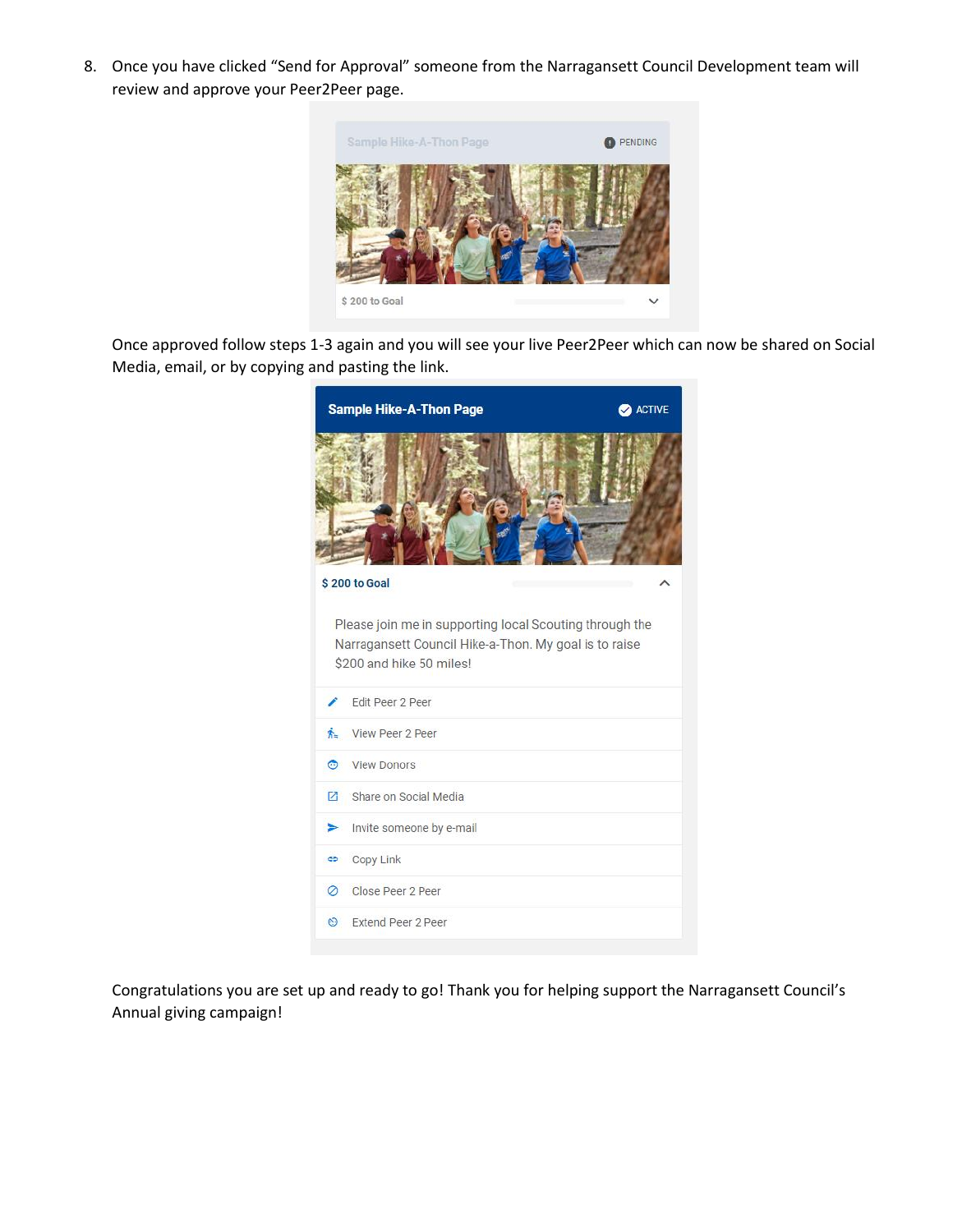8. Once you have clicked "Send for Approval" someone from the Narragansett Council Development team will review and approve your Peer2Peer page.



Once approved follow steps 1-3 again and you will see your live Peer2Peer which can now be shared on Social Media, email, or by copying and pasting the link.



Congratulations you are set up and ready to go! Thank you for helping support the Narragansett Council's Annual giving campaign!